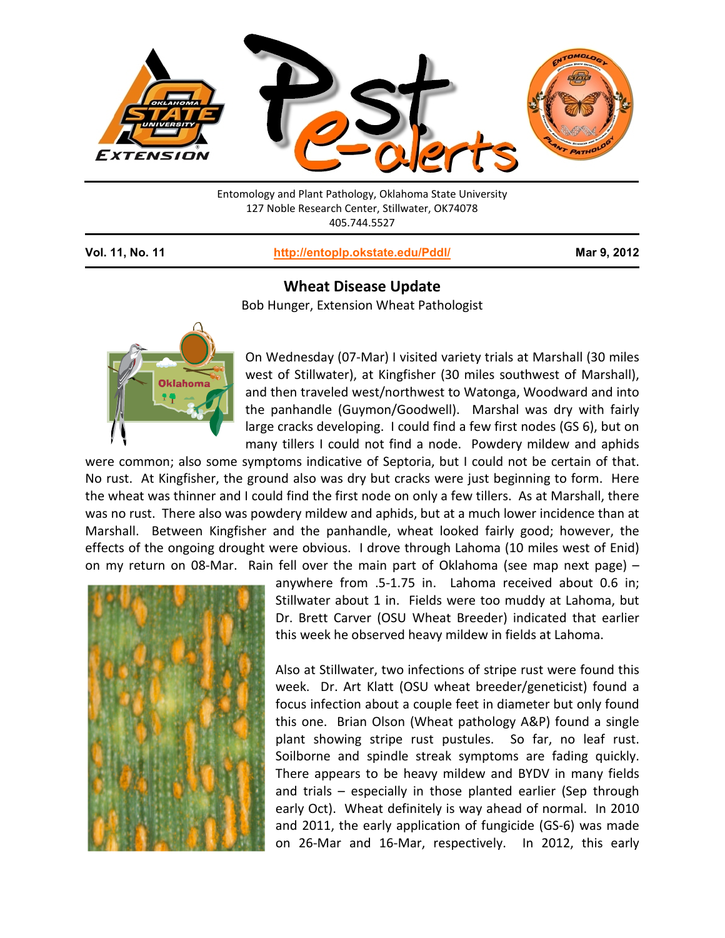

Entomology and Plant Pathology, Oklahoma State University 127 Noble Research Center, Stillwater, OK74078 405.744.5527

**Vol. 11, No. 11 <http://entoplp.okstate.edu/Pddl/> Mar 9, 2012**

## **Wheat Disease Update**

Bob Hunger, Extension Wheat Pathologist



On Wednesday (07-Mar) I visited variety trials at Marshall (30 miles west of Stillwater), at Kingfisher (30 miles southwest of Marshall), and then traveled west/northwest to Watonga, Woodward and into the panhandle (Guymon/Goodwell). Marshal was dry with fairly large cracks developing. I could find a few first nodes (GS 6), but on many tillers I could not find a node. Powdery mildew and aphids

were common; also some symptoms indicative of Septoria, but I could not be certain of that. No rust. At Kingfisher, the ground also was dry but cracks were just beginning to form. Here the wheat was thinner and I could find the first node on only a few tillers. As at Marshall, there was no rust. There also was powdery mildew and aphids, but at a much lower incidence than at Marshall. Between Kingfisher and the panhandle, wheat looked fairly good; however, the effects of the ongoing drought were obvious. I drove through Lahoma (10 miles west of Enid) on my return on 08-Mar. Rain fell over the main part of Oklahoma (see map next page) –



anywhere from .5-1.75 in. Lahoma received about 0.6 in; Stillwater about 1 in. Fields were too muddy at Lahoma, but Dr. Brett Carver (OSU Wheat Breeder) indicated that earlier this week he observed heavy mildew in fields at Lahoma.

Also at Stillwater, two infections of stripe rust were found this week. Dr. Art Klatt (OSU wheat breeder/geneticist) found a focus infection about a couple feet in diameter but only found this one. Brian Olson (Wheat pathology A&P) found a single plant showing stripe rust pustules. So far, no leaf rust. Soilborne and spindle streak symptoms are fading quickly. There appears to be heavy mildew and BYDV in many fields and trials – especially in those planted earlier (Sep through early Oct). Wheat definitely is way ahead of normal. In 2010 and 2011, the early application of fungicide (GS-6) was made on 26-Mar and 16-Mar, respectively. In 2012, this early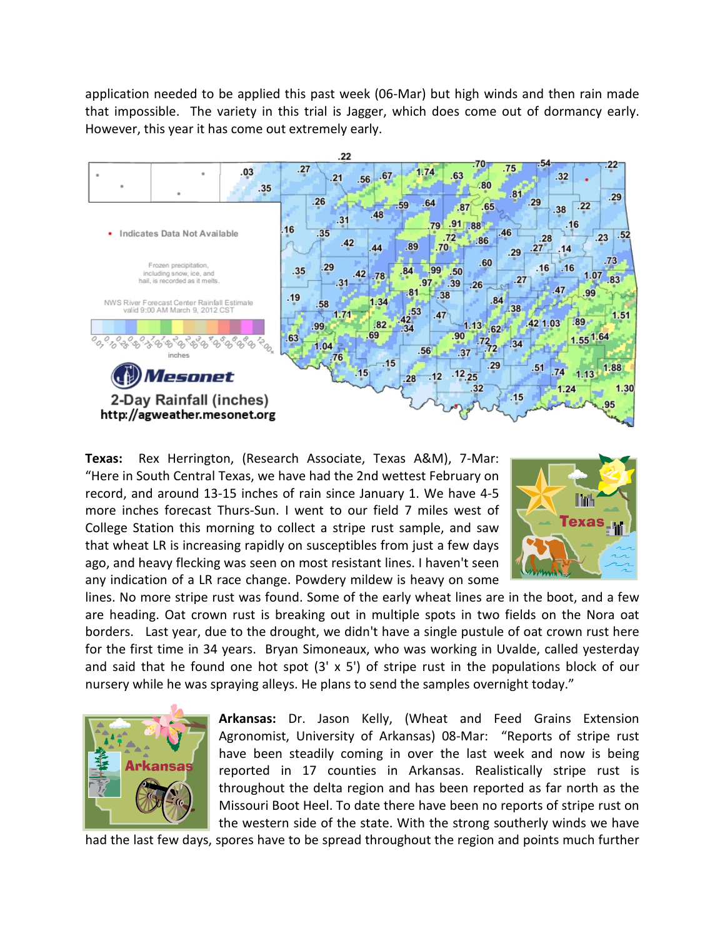application needed to be applied this past week (06-Mar) but high winds and then rain made that impossible. The variety in this trial is Jagger, which does come out of dormancy early. However, this year it has come out extremely early.



**Texas:** Rex Herrington, (Research Associate, Texas A&M), 7-Mar: "Here in South Central Texas, we have had the 2nd wettest February on record, and around 13-15 inches of rain since January 1. We have 4-5 more inches forecast Thurs-Sun. I went to our field 7 miles west of College Station this morning to collect a stripe rust sample, and saw that wheat LR is increasing rapidly on susceptibles from just a few days ago, and heavy flecking was seen on most resistant lines. I haven't seen any indication of a LR race change. Powdery mildew is heavy on some



lines. No more stripe rust was found. Some of the early wheat lines are in the boot, and a few are heading. Oat crown rust is breaking out in multiple spots in two fields on the Nora oat borders. Last year, due to the drought, we didn't have a single pustule of oat crown rust here for the first time in 34 years. Bryan Simoneaux, who was working in Uvalde, called yesterday and said that he found one hot spot  $(3' \times 5')$  of stripe rust in the populations block of our nursery while he was spraying alleys. He plans to send the samples overnight today."



**Arkansas:** Dr. Jason Kelly, (Wheat and Feed Grains Extension Agronomist, University of Arkansas) 08-Mar: "Reports of stripe rust have been steadily coming in over the last week and now is being reported in 17 counties in Arkansas. Realistically stripe rust is throughout the delta region and has been reported as far north as the Missouri Boot Heel. To date there have been no reports of stripe rust on the western side of the state. With the strong southerly winds we have

had the last few days, spores have to be spread throughout the region and points much further